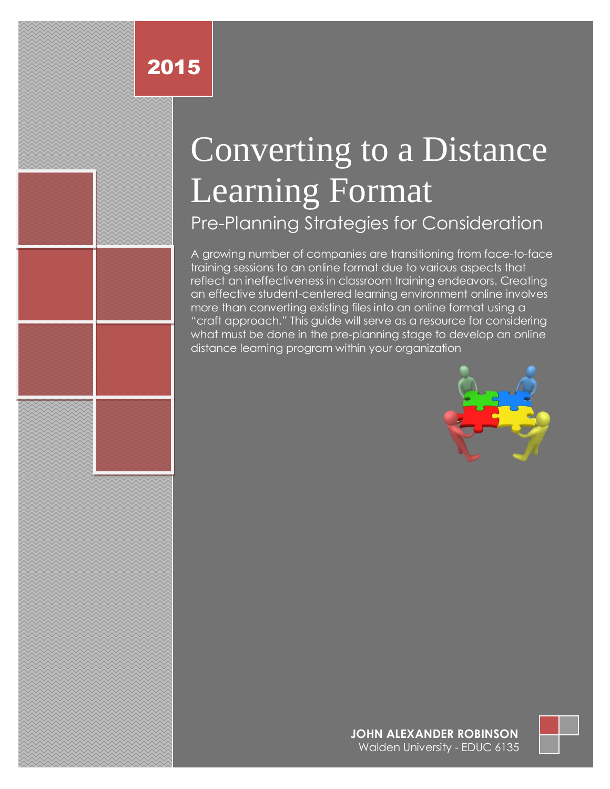## 2015

# Converting to a Distance Learning Format Pre-Planning Strategies for Consideration

A growing number of companies are transitioning from face-to-face training sessions to an online format due to various aspects that reflect an ineffectiveness in classroom training endeavors. Creating an effective student-centered learning environment online involves more than converting existing files into an online format using a "craft approach." This guide will serve as a resource for considering what must be done in the pre-planning stage to develop an online distance learning program within your organization



#### 0 | P a g e **JOHN ALEXANDER ROBINSON** Walden University - EDUC 6135

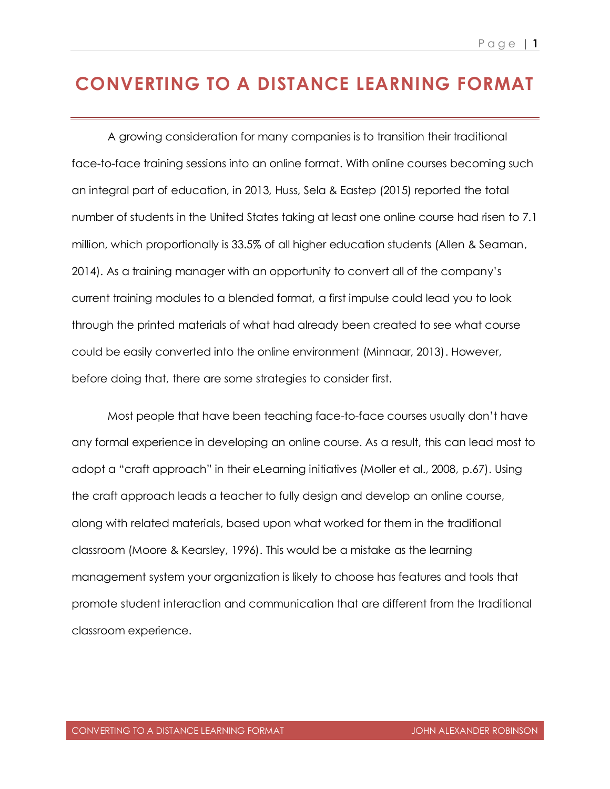#### **CONVERTING TO A DISTANCE LEARNING FORMAT**

A growing consideration for many companies is to transition their traditional face-to-face training sessions into an online format. With online courses becoming such an integral part of education, in 2013, Huss, Sela & Eastep (2015) reported the total number of students in the United States taking at least one online course had risen to 7.1 million, which proportionally is 33.5% of all higher education students (Allen & Seaman, 2014). As a training manager with an opportunity to convert all of the company's current training modules to a blended format, a first impulse could lead you to look through the printed materials of what had already been created to see what course could be easily converted into the online environment (Minnaar, 2013). However, before doing that, there are some strategies to consider first.

Most people that have been teaching face-to-face courses usually don't have any formal experience in developing an online course. As a result, this can lead most to adopt a "craft approach" in their eLearning initiatives (Moller et al., 2008, p.67). Using the craft approach leads a teacher to fully design and develop an online course, along with related materials, based upon what worked for them in the traditional classroom (Moore & Kearsley, 1996). This would be a mistake as the learning management system your organization is likely to choose has features and tools that promote student interaction and communication that are different from the traditional classroom experience.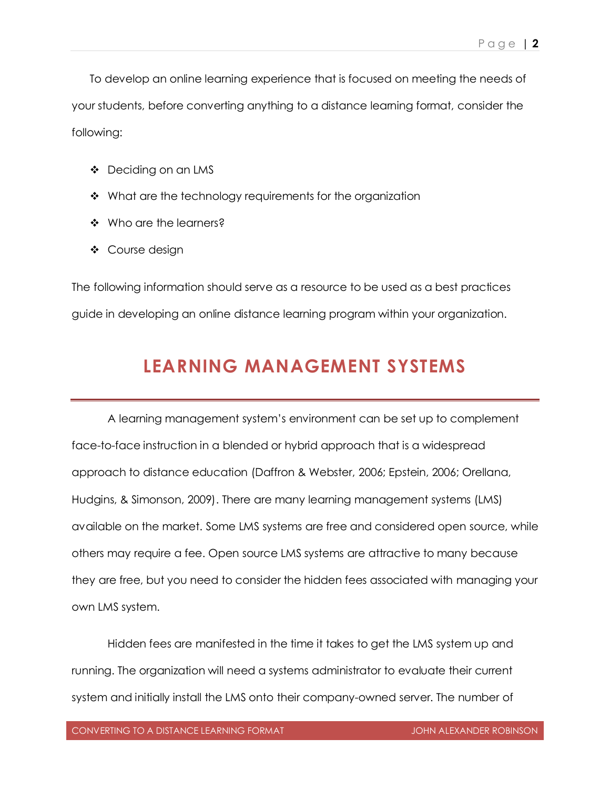To develop an online learning experience that is focused on meeting the needs of your students, before converting anything to a distance learning format, consider the following:

- ❖ Deciding on an LMS
- $\cdot$  What are the technology requirements for the organization
- ❖ Who are the learners?
- ❖ Course design

The following information should serve as a resource to be used as a best practices guide in developing an online distance learning program within your organization.

#### **LEARNING MANAGEMENT SYSTEMS**

A learning management system's environment can be set up to complement face-to-face instruction in a blended or hybrid approach that is a widespread approach to distance education (Daffron & Webster, 2006; Epstein, 2006; Orellana, Hudgins, & Simonson, 2009). There are many learning management systems (LMS) available on the market. Some LMS systems are free and considered open source, while others may require a fee. Open source LMS systems are attractive to many because they are free, but you need to consider the hidden fees associated with managing your own LMS system.

Hidden fees are manifested in the time it takes to get the LMS system up and running. The organization will need a systems administrator to evaluate their current system and initially install the LMS onto their company-owned server. The number of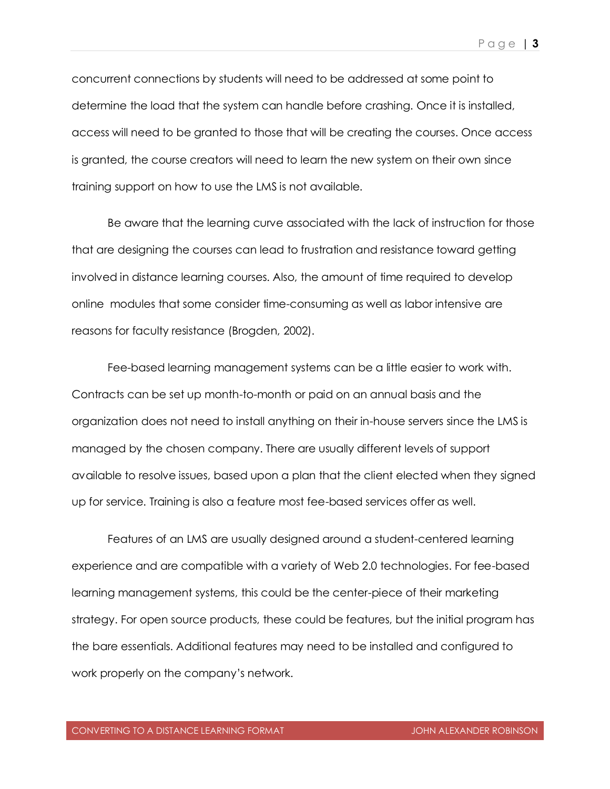concurrent connections by students will need to be addressed at some point to determine the load that the system can handle before crashing. Once it is installed, access will need to be granted to those that will be creating the courses. Once access is granted, the course creators will need to learn the new system on their own since training support on how to use the LMS is not available.

Be aware that the learning curve associated with the lack of instruction for those that are designing the courses can lead to frustration and resistance toward getting involved in distance learning courses. Also, the amount of time required to develop online modules that some consider time-consuming as well as labor intensive are reasons for faculty resistance (Brogden, 2002).

Fee-based learning management systems can be a little easier to work with. Contracts can be set up month-to-month or paid on an annual basis and the organization does not need to install anything on their in-house servers since the LMS is managed by the chosen company. There are usually different levels of support available to resolve issues, based upon a plan that the client elected when they signed up for service. Training is also a feature most fee-based services offer as well.

Features of an LMS are usually designed around a student-centered learning experience and are compatible with a variety of Web 2.0 technologies. For fee-based learning management systems, this could be the center-piece of their marketing strategy. For open source products, these could be features, but the initial program has the bare essentials. Additional features may need to be installed and configured to work properly on the company's network.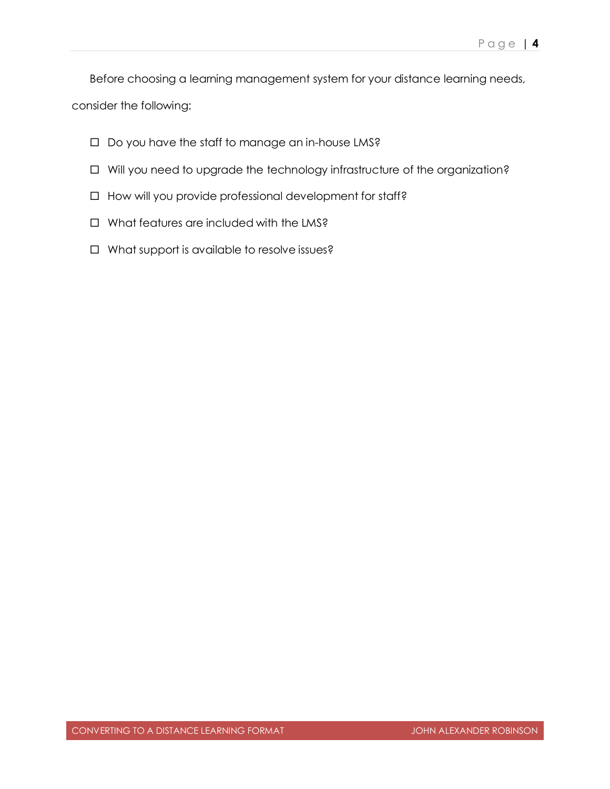Before choosing a learning management system for your distance learning needs,

consider the following:

- $\Box$  Do you have the staff to manage an in-house LMS?
- $\Box$  Will you need to upgrade the technology infrastructure of the organization?
- $\Box$  How will you provide professional development for staff?
- □ What features are included with the LMS?
- □ What support is available to resolve issues?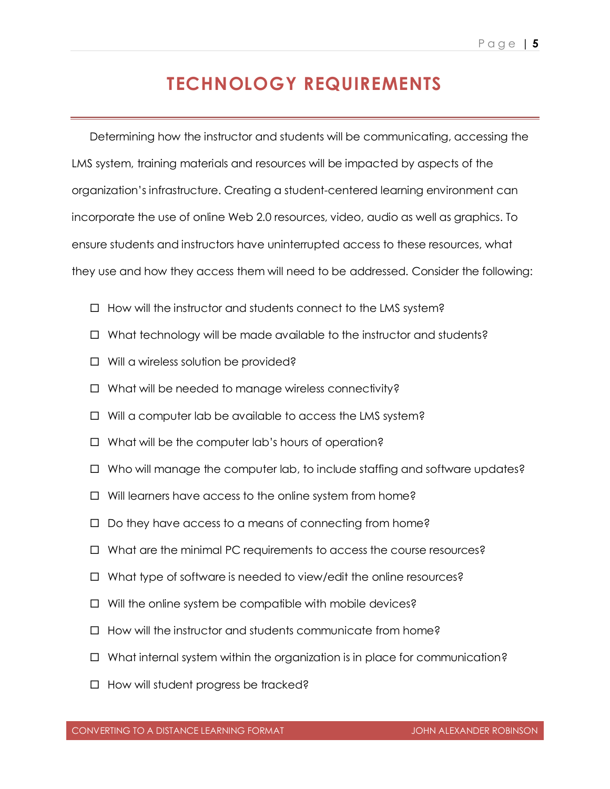#### **TECHNOLOGY REQUIREMENTS**

Determining how the instructor and students will be communicating, accessing the LMS system, training materials and resources will be impacted by aspects of the organization's infrastructure. Creating a student-centered learning environment can incorporate the use of online Web 2.0 resources, video, audio as well as graphics. To ensure students and instructors have uninterrupted access to these resources, what they use and how they access them will need to be addressed. Consider the following:

- $\Box$  How will the instructor and students connect to the LMS system?
- $\Box$  What technology will be made available to the instructor and students?
- $\Box$  Will a wireless solution be provided?
- $\Box$  What will be needed to manage wireless connectivity?
- $\Box$  Will a computer lab be available to access the LMS system?
- $\Box$  What will be the computer lab's hours of operation?
- $\Box$  Who will manage the computer lab, to include staffing and software updates?
- $\Box$  Will learners have access to the online system from home?
- $\Box$  Do they have access to a means of connecting from home?
- $\Box$  What are the minimal PC requirements to access the course resources?
- $\Box$  What type of software is needed to view/edit the online resources?
- $\Box$  Will the online system be compatible with mobile devices?
- $\Box$  How will the instructor and students communicate from home?
- $\Box$  What internal system within the organization is in place for communication?
- $\Box$  How will student progress be tracked?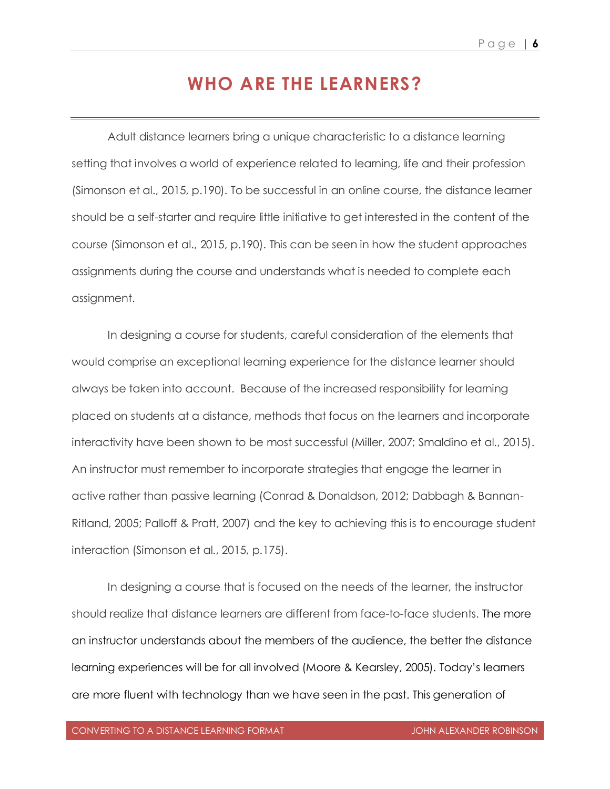#### **WHO ARE THE LEARNERS?**

Adult distance learners bring a unique characteristic to a distance learning setting that involves a world of experience related to learning, life and their profession (Simonson et al., 2015, p.190). To be successful in an online course, the distance learner should be a self-starter and require little initiative to get interested in the content of the course (Simonson et al., 2015, p.190). This can be seen in how the student approaches assignments during the course and understands what is needed to complete each assignment.

In designing a course for students, careful consideration of the elements that would comprise an exceptional learning experience for the distance learner should always be taken into account. Because of the increased responsibility for learning placed on students at a distance, methods that focus on the learners and incorporate interactivity have been shown to be most successful (Miller, 2007; Smaldino et al., 2015). An instructor must remember to incorporate strategies that engage the learner in active rather than passive learning (Conrad & Donaldson, 2012; Dabbagh & Bannan-Ritland, 2005; Palloff & Pratt, 2007) and the key to achieving this is to encourage student interaction (Simonson et al., 2015, p.175).

In designing a course that is focused on the needs of the learner, the instructor should realize that distance learners are different from face-to-face students. The more an instructor understands about the members of the audience, the better the distance learning experiences will be for all involved (Moore & Kearsley, 2005). Today's learners are more fluent with technology than we have seen in the past. This generation of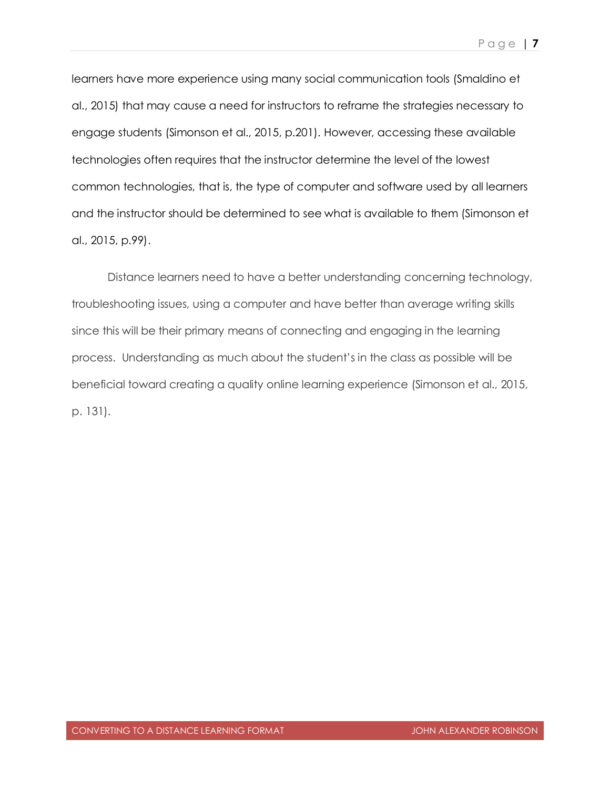learners have more experience using many social communication tools (Smaldino et al., 2015) that may cause a need for instructors to reframe the strategies necessary to engage students (Simonson et al., 2015, p.201). However, accessing these available technologies often requires that the instructor determine the level of the lowest common technologies, that is, the type of computer and software used by all learners and the instructor should be determined to see what is available to them (Simonson et al., 2015, p.99).

Distance learners need to have a better understanding concerning technology, troubleshooting issues, using a computer and have better than average writing skills since this will be their primary means of connecting and engaging in the learning process. Understanding as much about the student's in the class as possible will be beneficial toward creating a quality online learning experience (Simonson et al., 2015, p. 131).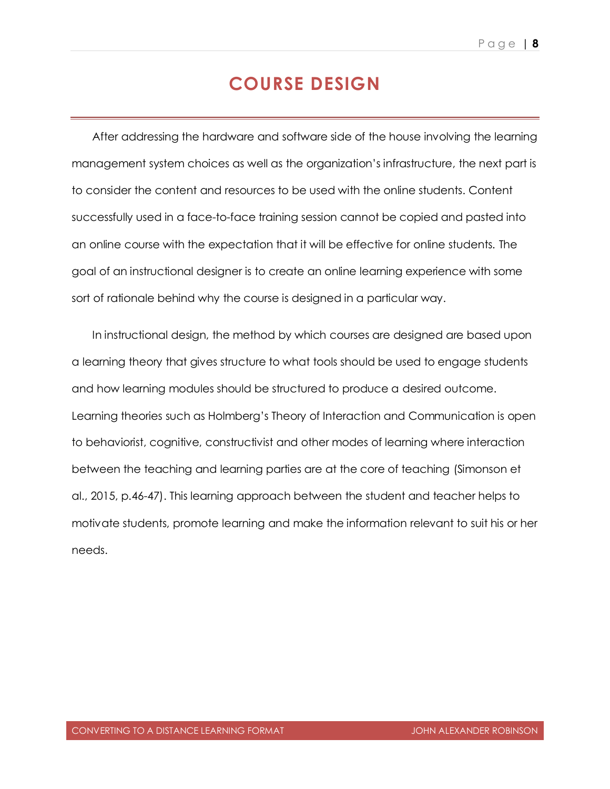#### **COURSE DESIGN**

After addressing the hardware and software side of the house involving the learning management system choices as well as the organization's infrastructure, the next part is to consider the content and resources to be used with the online students. Content successfully used in a face-to-face training session cannot be copied and pasted into an online course with the expectation that it will be effective for online students. The goal of an instructional designer is to create an online learning experience with some sort of rationale behind why the course is designed in a particular way.

In instructional design, the method by which courses are designed are based upon a learning theory that gives structure to what tools should be used to engage students and how learning modules should be structured to produce a desired outcome. Learning theories such as Holmberg's Theory of Interaction and Communication is open to behaviorist, cognitive, constructivist and other modes of learning where interaction between the teaching and learning parties are at the core of teaching (Simonson et al., 2015, p.46-47). This learning approach between the student and teacher helps to motivate students, promote learning and make the information relevant to suit his or her needs.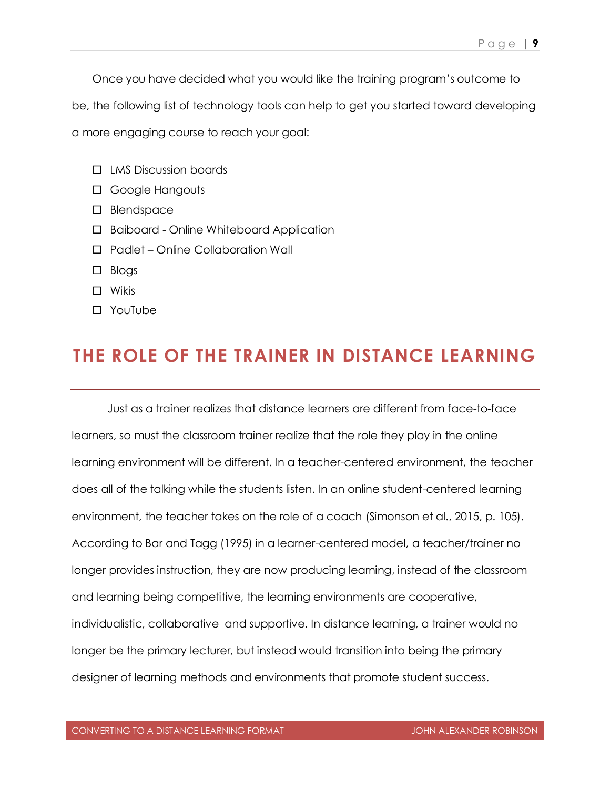Once you have decided what you would like the training program's outcome to

be, the following list of technology tools can help to get you started toward developing

a more engaging course to reach your goal:

- LMS Discussion boards
- Google Hangouts
- □ Blendspace
- Baiboard Online Whiteboard Application
- □ Padlet Online Collaboration Wall
- $\Box$  Blogs
- Wikis
- YouTube

#### **THE ROLE OF THE TRAINER IN DISTANCE LEARNING**

Just as a trainer realizes that distance learners are different from face-to-face learners, so must the classroom trainer realize that the role they play in the online learning environment will be different. In a teacher-centered environment, the teacher does all of the talking while the students listen. In an online student-centered learning environment, the teacher takes on the role of a coach (Simonson et al., 2015, p. 105). According to Bar and Tagg (1995) in a learner-centered model, a teacher/trainer no longer provides instruction, they are now producing learning, instead of the classroom and learning being competitive, the learning environments are cooperative, individualistic, collaborative and supportive. In distance learning, a trainer would no longer be the primary lecturer, but instead would transition into being the primary designer of learning methods and environments that promote student success.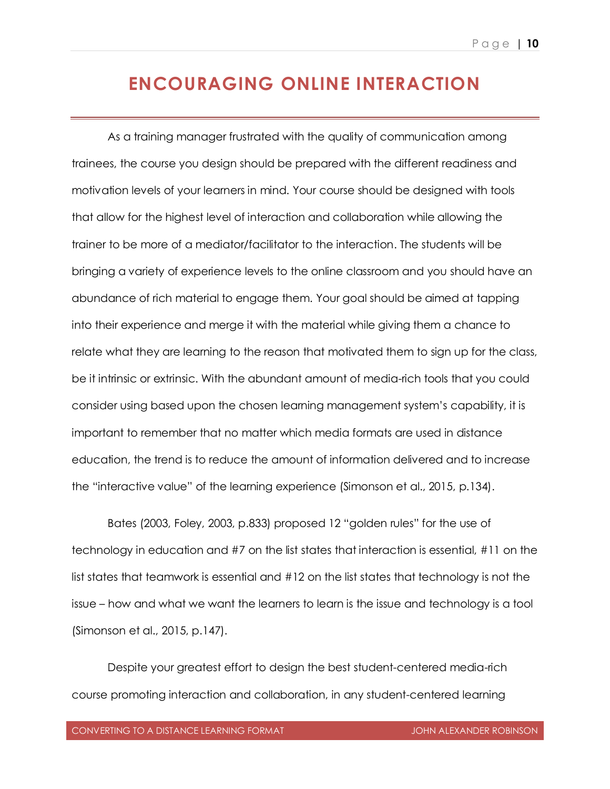#### **ENCOURAGING ONLINE INTERACTION**

As a training manager frustrated with the quality of communication among trainees, the course you design should be prepared with the different readiness and motivation levels of your learners in mind. Your course should be designed with tools that allow for the highest level of interaction and collaboration while allowing the trainer to be more of a mediator/facilitator to the interaction. The students will be bringing a variety of experience levels to the online classroom and you should have an abundance of rich material to engage them. Your goal should be aimed at tapping into their experience and merge it with the material while giving them a chance to relate what they are learning to the reason that motivated them to sign up for the class, be it intrinsic or extrinsic. With the abundant amount of media-rich tools that you could consider using based upon the chosen learning management system's capability, it is important to remember that no matter which media formats are used in distance education, the trend is to reduce the amount of information delivered and to increase the "interactive value" of the learning experience (Simonson et al., 2015, p.134).

Bates (2003, Foley, 2003, p.833) proposed 12 "golden rules" for the use of technology in education and #7 on the list states that interaction is essential, #11 on the list states that teamwork is essential and #12 on the list states that technology is not the issue – how and what we want the learners to learn is the issue and technology is a tool (Simonson et al., 2015, p.147).

Despite your greatest effort to design the best student-centered media-rich course promoting interaction and collaboration, in any student-centered learning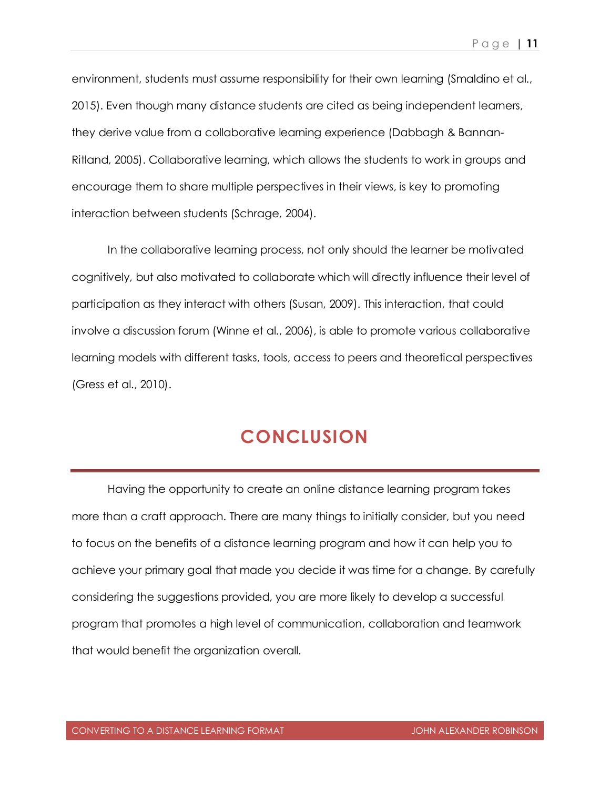environment, students must assume responsibility for their own learning (Smaldino et al., 2015). Even though many distance students are cited as being independent learners, they derive value from a collaborative learning experience (Dabbagh & Bannan-Ritland, 2005). Collaborative learning, which allows the students to work in groups and encourage them to share multiple perspectives in their views, is key to promoting interaction between students (Schrage, 2004).

In the collaborative learning process, not only should the learner be motivated cognitively, but also motivated to collaborate which will directly influence their level of participation as they interact with others (Susan, 2009). This interaction, that could involve a discussion forum (Winne et al., 2006), is able to promote various collaborative learning models with different tasks, tools, access to peers and theoretical perspectives (Gress et al., 2010).

#### **CONCLUSION**

Having the opportunity to create an online distance learning program takes more than a craft approach. There are many things to initially consider, but you need to focus on the benefits of a distance learning program and how it can help you to achieve your primary goal that made you decide it was time for a change. By carefully considering the suggestions provided, you are more likely to develop a successful program that promotes a high level of communication, collaboration and teamwork that would benefit the organization overall.